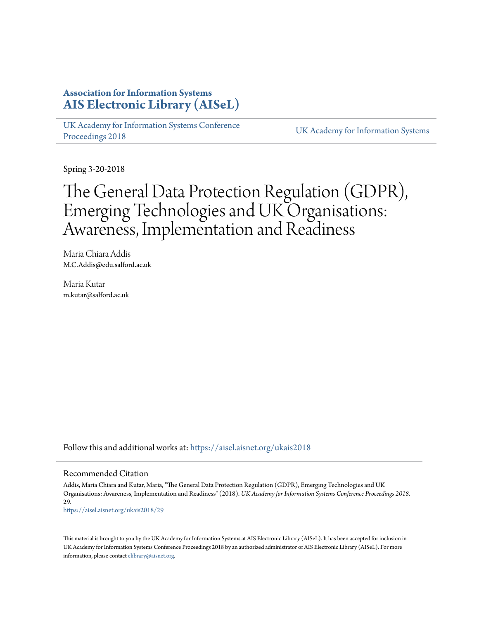# **Association for Information Systems [AIS Electronic Library \(AISeL\)](https://aisel.aisnet.org?utm_source=aisel.aisnet.org%2Fukais2018%2F29&utm_medium=PDF&utm_campaign=PDFCoverPages)**

[UK Academy for Information Systems Conference](https://aisel.aisnet.org/ukais2018?utm_source=aisel.aisnet.org%2Fukais2018%2F29&utm_medium=PDF&utm_campaign=PDFCoverPages) [Proceedings 2018](https://aisel.aisnet.org/ukais2018?utm_source=aisel.aisnet.org%2Fukais2018%2F29&utm_medium=PDF&utm_campaign=PDFCoverPages) [UK Academy for Information Systems](https://aisel.aisnet.org/ukais?utm_source=aisel.aisnet.org%2Fukais2018%2F29&utm_medium=PDF&utm_campaign=PDFCoverPages)

Spring 3-20-2018

# The General Data Protection Regulation (GDPR), Emerging Technologies and UK Organisations: Awareness, Implementation and Readiness

Maria Chiara Addis M.C.Addis@edu.salford.ac.uk

Maria Kutar m.kutar@salford.ac.uk

Follow this and additional works at: [https://aisel.aisnet.org/ukais2018](https://aisel.aisnet.org/ukais2018?utm_source=aisel.aisnet.org%2Fukais2018%2F29&utm_medium=PDF&utm_campaign=PDFCoverPages)

#### Recommended Citation

Addis, Maria Chiara and Kutar, Maria, "The General Data Protection Regulation (GDPR), Emerging Technologies and UK Organisations: Awareness, Implementation and Readiness" (2018). *UK Academy for Information Systems Conference Proceedings 2018*. 29.

[https://aisel.aisnet.org/ukais2018/29](https://aisel.aisnet.org/ukais2018/29?utm_source=aisel.aisnet.org%2Fukais2018%2F29&utm_medium=PDF&utm_campaign=PDFCoverPages)

This material is brought to you by the UK Academy for Information Systems at AIS Electronic Library (AISeL). It has been accepted for inclusion in UK Academy for Information Systems Conference Proceedings 2018 by an authorized administrator of AIS Electronic Library (AISeL). For more information, please contact [elibrary@aisnet.org.](mailto:elibrary@aisnet.org%3E)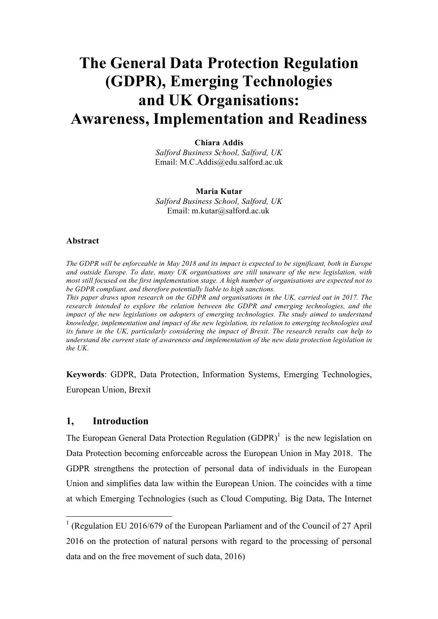# **The General Data Protection Regulation (GDPR), Emerging Technologies and UK Organisations: Awareness, Implementation and Readiness**

**Chiara Addis** *Salford Business School, Salford, UK* Email: M.C.Addis@edu.salford.ac.uk

#### **Maria Kutar**

*Salford Business School, Salford, UK* Email: m.kutar@salford.ac.uk

## **Abstract**

*The GDPR will be enforceable in May 2018 and its impact is expected to be significant, both in Europe and outside Europe. To date, many UK organisations are still unaware of the new legislation, with most still focused on the first implementation stage. A high number of organisations are expected not to be GDPR compliant, and therefore potentially liable to high sanctions. This paper draws upon research on the GDPR and organisations in the UK, carried out in 2017. The research intended to explore the relation between the GDPR and emerging technologies, and the impact of the new legislations on adopters of emerging technologies. The study aimed to understand knowledge, implementation and impact of the new legislation, its relation to emerging technologies and its future in the UK, particularly considering the impact of Brexit. The research results can help to understand the current state of awareness and implementation of the new data protection legislation in the UK.*

**Keywords**: GDPR, Data Protection, Information Systems, Emerging Technologies, European Union, Brexit

## **1, Introduction**

The European General Data Protection Regulation  $(GDPR)^{1}$  is the new legislation on Data Protection becoming enforceable across the European Union in May 2018. The GDPR strengthens the protection of personal data of individuals in the European Union and simplifies data law within the European Union. The coincides with a time at which Emerging Technologies (such as Cloud Computing, Big Data, The Internet

 <sup>1</sup> (Regulation EU 2016/679 of the European Parliament and of the Council of 27 April 2016 on the protection of natural persons with regard to the processing of personal data and on the free movement of such data, 2016)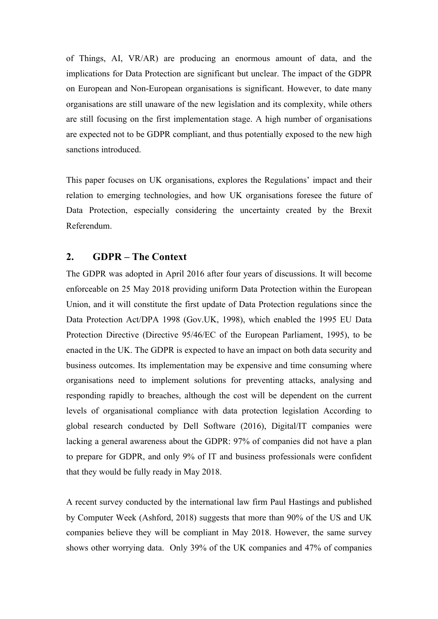of Things, AI, VR/AR) are producing an enormous amount of data, and the implications for Data Protection are significant but unclear. The impact of the GDPR on European and Non-European organisations is significant. However, to date many organisations are still unaware of the new legislation and its complexity, while others are still focusing on the first implementation stage. A high number of organisations are expected not to be GDPR compliant, and thus potentially exposed to the new high sanctions introduced.

This paper focuses on UK organisations, explores the Regulations' impact and their relation to emerging technologies, and how UK organisations foresee the future of Data Protection, especially considering the uncertainty created by the Brexit Referendum.

# **2. GDPR – The Context**

The GDPR was adopted in April 2016 after four years of discussions. It will become enforceable on 25 May 2018 providing uniform Data Protection within the European Union, and it will constitute the first update of Data Protection regulations since the Data Protection Act/DPA 1998 (Gov.UK, 1998), which enabled the 1995 EU Data Protection Directive (Directive 95/46/EC of the European Parliament, 1995), to be enacted in the UK. The GDPR is expected to have an impact on both data security and business outcomes. Its implementation may be expensive and time consuming where organisations need to implement solutions for preventing attacks, analysing and responding rapidly to breaches, although the cost will be dependent on the current levels of organisational compliance with data protection legislation According to global research conducted by Dell Software (2016), Digital/IT companies were lacking a general awareness about the GDPR: 97% of companies did not have a plan to prepare for GDPR, and only 9% of IT and business professionals were confident that they would be fully ready in May 2018.

A recent survey conducted by the international law firm Paul Hastings and published by Computer Week (Ashford, 2018) suggests that more than 90% of the US and UK companies believe they will be compliant in May 2018. However, the same survey shows other worrying data. Only 39% of the UK companies and 47% of companies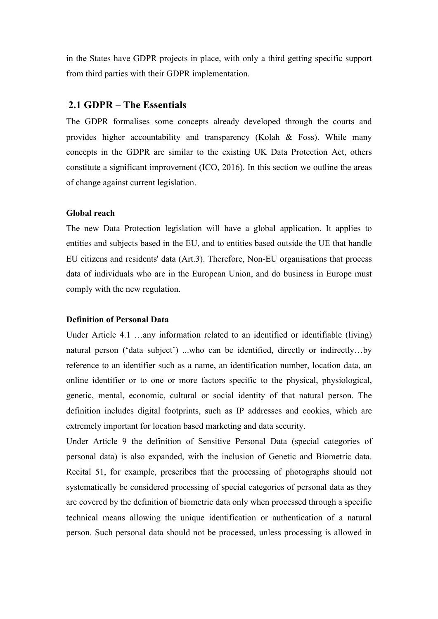in the States have GDPR projects in place, with only a third getting specific support from third parties with their GDPR implementation.

## **2.1 GDPR – The Essentials**

The GDPR formalises some concepts already developed through the courts and provides higher accountability and transparency (Kolah & Foss). While many concepts in the GDPR are similar to the existing UK Data Protection Act, others constitute a significant improvement (ICO, 2016). In this section we outline the areas of change against current legislation.

## **Global reach**

The new Data Protection legislation will have a global application. It applies to entities and subjects based in the EU, and to entities based outside the UE that handle EU citizens and residents' data (Art.3). Therefore, Non-EU organisations that process data of individuals who are in the European Union, and do business in Europe must comply with the new regulation.

## **Definition of Personal Data**

Under Article 4.1 …any information related to an identified or identifiable (living) natural person ('data subject') ...who can be identified, directly or indirectly...by reference to an identifier such as a name, an identification number, location data, an online identifier or to one or more factors specific to the physical, physiological, genetic, mental, economic, cultural or social identity of that natural person. The definition includes digital footprints, such as IP addresses and cookies, which are extremely important for location based marketing and data security.

Under Article 9 the definition of Sensitive Personal Data (special categories of personal data) is also expanded, with the inclusion of Genetic and Biometric data. Recital 51, for example, prescribes that the processing of photographs should not systematically be considered processing of special categories of personal data as they are covered by the definition of biometric data only when processed through a specific technical means allowing the unique identification or authentication of a natural person. Such personal data should not be processed, unless processing is allowed in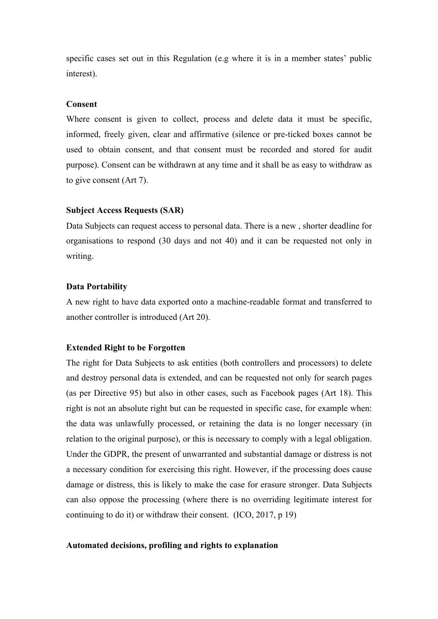specific cases set out in this Regulation (e.g where it is in a member states' public interest).

#### **Consent**

Where consent is given to collect, process and delete data it must be specific, informed, freely given, clear and affirmative (silence or pre-ticked boxes cannot be used to obtain consent, and that consent must be recorded and stored for audit purpose). Consent can be withdrawn at any time and it shall be as easy to withdraw as to give consent (Art 7).

## **Subject Access Requests (SAR)**

Data Subjects can request access to personal data. There is a new , shorter deadline for organisations to respond (30 days and not 40) and it can be requested not only in writing.

### **Data Portability**

A new right to have data exported onto a machine-readable format and transferred to another controller is introduced (Art 20).

## **Extended Right to be Forgotten**

The right for Data Subjects to ask entities (both controllers and processors) to delete and destroy personal data is extended, and can be requested not only for search pages (as per Directive 95) but also in other cases, such as Facebook pages (Art 18). This right is not an absolute right but can be requested in specific case, for example when: the data was unlawfully processed, or retaining the data is no longer necessary (in relation to the original purpose), or this is necessary to comply with a legal obligation. Under the GDPR, the present of unwarranted and substantial damage or distress is not a necessary condition for exercising this right. However, if the processing does cause damage or distress, this is likely to make the case for erasure stronger. Data Subjects can also oppose the processing (where there is no overriding legitimate interest for continuing to do it) or withdraw their consent. (ICO, 2017, p 19)

#### **Automated decisions, profiling and rights to explanation**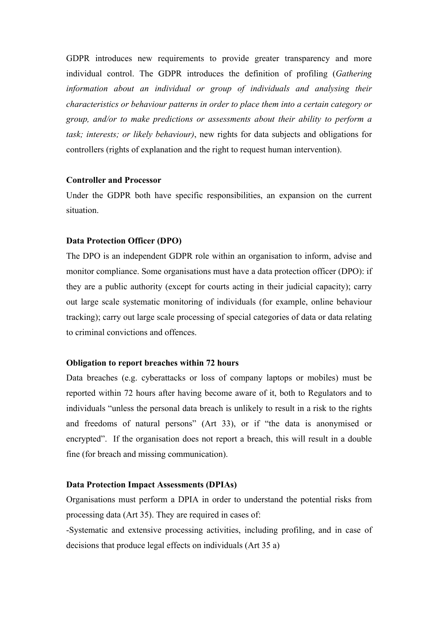GDPR introduces new requirements to provide greater transparency and more individual control. The GDPR introduces the definition of profiling (*Gathering information about an individual or group of individuals and analysing their characteristics or behaviour patterns in order to place them into a certain category or group, and/or to make predictions or assessments about their ability to perform a task; interests; or likely behaviour)*, new rights for data subjects and obligations for controllers (rights of explanation and the right to request human intervention).

#### **Controller and Processor**

Under the GDPR both have specific responsibilities, an expansion on the current situation.

#### **Data Protection Officer (DPO)**

The DPO is an independent GDPR role within an organisation to inform, advise and monitor compliance. Some organisations must have a data protection officer (DPO): if they are a public authority (except for courts acting in their judicial capacity); carry out large scale systematic monitoring of individuals (for example, online behaviour tracking); carry out large scale processing of special categories of data or data relating to criminal convictions and offences.

#### **Obligation to report breaches within 72 hours**

Data breaches (e.g. cyberattacks or loss of company laptops or mobiles) must be reported within 72 hours after having become aware of it, both to Regulators and to individuals "unless the personal data breach is unlikely to result in a risk to the rights and freedoms of natural persons" (Art 33), or if "the data is anonymised or encrypted". If the organisation does not report a breach, this will result in a double fine (for breach and missing communication).

## **Data Protection Impact Assessments (DPIAs)**

Organisations must perform a DPIA in order to understand the potential risks from processing data (Art 35). They are required in cases of:

-Systematic and extensive processing activities, including profiling, and in case of decisions that produce legal effects on individuals (Art 35 a)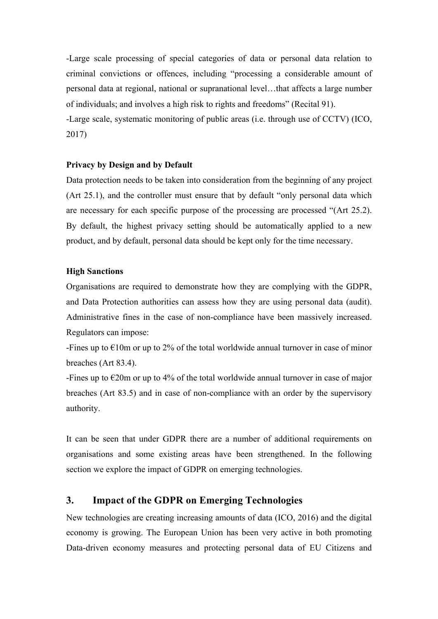-Large scale processing of special categories of data or personal data relation to criminal convictions or offences, including "processing a considerable amount of personal data at regional, national or supranational level…that affects a large number of individuals; and involves a high risk to rights and freedoms" (Recital 91). -Large scale, systematic monitoring of public areas (i.e. through use of CCTV) (ICO,

2017)

## **Privacy by Design and by Default**

Data protection needs to be taken into consideration from the beginning of any project (Art 25.1), and the controller must ensure that by default "only personal data which are necessary for each specific purpose of the processing are processed "(Art 25.2). By default, the highest privacy setting should be automatically applied to a new product, and by default, personal data should be kept only for the time necessary.

## **High Sanctions**

Organisations are required to demonstrate how they are complying with the GDPR, and Data Protection authorities can assess how they are using personal data (audit). Administrative fines in the case of non-compliance have been massively increased. Regulators can impose:

-Fines up to  $\epsilon$ 10m or up to 2% of the total worldwide annual turnover in case of minor breaches (Art 83.4).

-Fines up to  $\epsilon$ 20m or up to 4% of the total worldwide annual turnover in case of major breaches (Art 83.5) and in case of non-compliance with an order by the supervisory authority.

It can be seen that under GDPR there are a number of additional requirements on organisations and some existing areas have been strengthened. In the following section we explore the impact of GDPR on emerging technologies.

# **3. Impact of the GDPR on Emerging Technologies**

New technologies are creating increasing amounts of data (ICO, 2016) and the digital economy is growing. The European Union has been very active in both promoting Data-driven economy measures and protecting personal data of EU Citizens and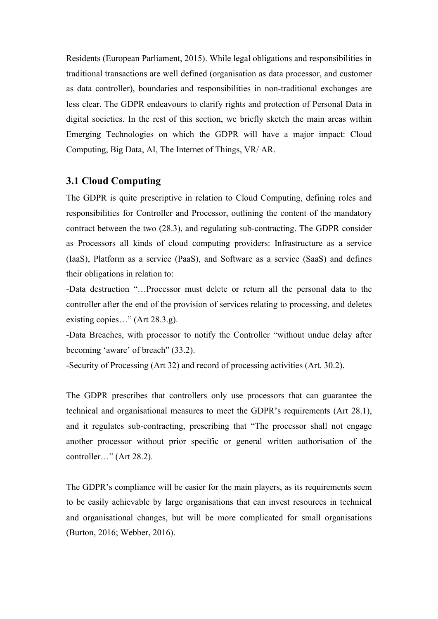Residents (European Parliament, 2015). While legal obligations and responsibilities in traditional transactions are well defined (organisation as data processor, and customer as data controller), boundaries and responsibilities in non-traditional exchanges are less clear. The GDPR endeavours to clarify rights and protection of Personal Data in digital societies. In the rest of this section, we briefly sketch the main areas within Emerging Technologies on which the GDPR will have a major impact: Cloud Computing, Big Data, AI, The Internet of Things, VR/ AR.

## **3.1 Cloud Computing**

The GDPR is quite prescriptive in relation to Cloud Computing, defining roles and responsibilities for Controller and Processor, outlining the content of the mandatory contract between the two (28.3), and regulating sub-contracting. The GDPR consider as Processors all kinds of cloud computing providers: Infrastructure as a service (IaaS), Platform as a service (PaaS), and Software as a service (SaaS) and defines their obligations in relation to:

-Data destruction "…Processor must delete or return all the personal data to the controller after the end of the provision of services relating to processing, and deletes existing copies…" (Art 28.3.g).

-Data Breaches, with processor to notify the Controller "without undue delay after becoming 'aware' of breach" (33.2).

-Security of Processing (Art 32) and record of processing activities (Art. 30.2).

The GDPR prescribes that controllers only use processors that can guarantee the technical and organisational measures to meet the GDPR's requirements (Art 28.1), and it regulates sub-contracting, prescribing that "The processor shall not engage another processor without prior specific or general written authorisation of the controller…" (Art 28.2).

The GDPR's compliance will be easier for the main players, as its requirements seem to be easily achievable by large organisations that can invest resources in technical and organisational changes, but will be more complicated for small organisations (Burton, 2016; Webber, 2016).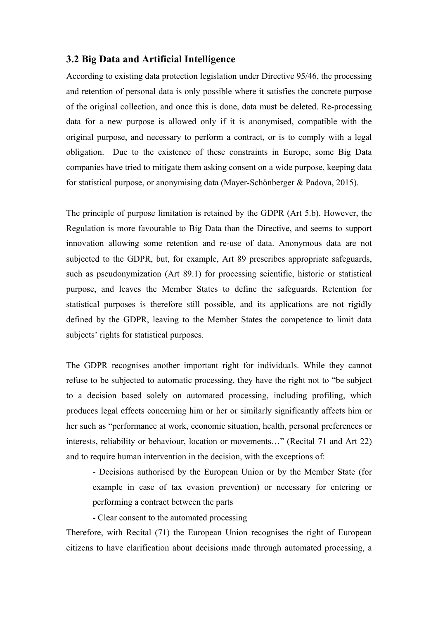## **3.2 Big Data and Artificial Intelligence**

According to existing data protection legislation under Directive 95/46, the processing and retention of personal data is only possible where it satisfies the concrete purpose of the original collection, and once this is done, data must be deleted. Re-processing data for a new purpose is allowed only if it is anonymised, compatible with the original purpose, and necessary to perform a contract, or is to comply with a legal obligation. Due to the existence of these constraints in Europe, some Big Data companies have tried to mitigate them asking consent on a wide purpose, keeping data for statistical purpose, or anonymising data (Mayer-Schönberger & Padova, 2015).

The principle of purpose limitation is retained by the GDPR (Art 5.b). However, the Regulation is more favourable to Big Data than the Directive, and seems to support innovation allowing some retention and re-use of data. Anonymous data are not subjected to the GDPR, but, for example, Art 89 prescribes appropriate safeguards, such as pseudonymization (Art 89.1) for processing scientific, historic or statistical purpose, and leaves the Member States to define the safeguards. Retention for statistical purposes is therefore still possible, and its applications are not rigidly defined by the GDPR, leaving to the Member States the competence to limit data subjects' rights for statistical purposes.

The GDPR recognises another important right for individuals. While they cannot refuse to be subjected to automatic processing, they have the right not to "be subject to a decision based solely on automated processing, including profiling, which produces legal effects concerning him or her or similarly significantly affects him or her such as "performance at work, economic situation, health, personal preferences or interests, reliability or behaviour, location or movements…" (Recital 71 and Art 22) and to require human intervention in the decision, with the exceptions of:

- Decisions authorised by the European Union or by the Member State (for example in case of tax evasion prevention) or necessary for entering or performing a contract between the parts

- Clear consent to the automated processing

Therefore, with Recital (71) the European Union recognises the right of European citizens to have clarification about decisions made through automated processing, a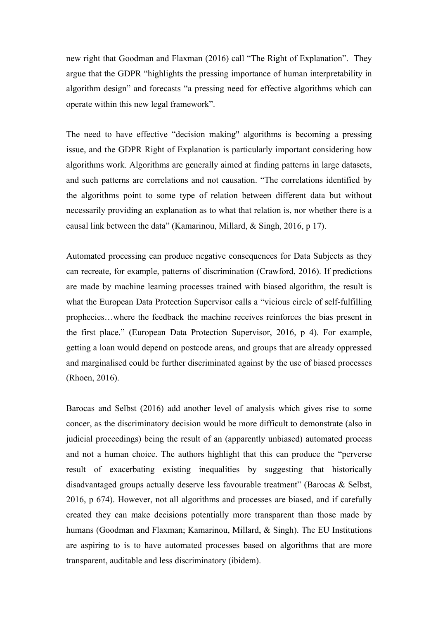new right that Goodman and Flaxman (2016) call "The Right of Explanation". They argue that the GDPR "highlights the pressing importance of human interpretability in algorithm design" and forecasts "a pressing need for effective algorithms which can operate within this new legal framework".

The need to have effective "decision making" algorithms is becoming a pressing issue, and the GDPR Right of Explanation is particularly important considering how algorithms work. Algorithms are generally aimed at finding patterns in large datasets, and such patterns are correlations and not causation. "The correlations identified by the algorithms point to some type of relation between different data but without necessarily providing an explanation as to what that relation is, nor whether there is a causal link between the data" (Kamarinou, Millard, & Singh, 2016, p 17).

Automated processing can produce negative consequences for Data Subjects as they can recreate, for example, patterns of discrimination (Crawford, 2016). If predictions are made by machine learning processes trained with biased algorithm, the result is what the European Data Protection Supervisor calls a "vicious circle of self-fulfilling prophecies…where the feedback the machine receives reinforces the bias present in the first place." (European Data Protection Supervisor, 2016, p 4). For example, getting a loan would depend on postcode areas, and groups that are already oppressed and marginalised could be further discriminated against by the use of biased processes (Rhoen, 2016).

Barocas and Selbst (2016) add another level of analysis which gives rise to some concer, as the discriminatory decision would be more difficult to demonstrate (also in judicial proceedings) being the result of an (apparently unbiased) automated process and not a human choice. The authors highlight that this can produce the "perverse result of exacerbating existing inequalities by suggesting that historically disadvantaged groups actually deserve less favourable treatment" (Barocas & Selbst, 2016, p 674). However, not all algorithms and processes are biased, and if carefully created they can make decisions potentially more transparent than those made by humans (Goodman and Flaxman; Kamarinou, Millard, & Singh). The EU Institutions are aspiring to is to have automated processes based on algorithms that are more transparent, auditable and less discriminatory (ibidem).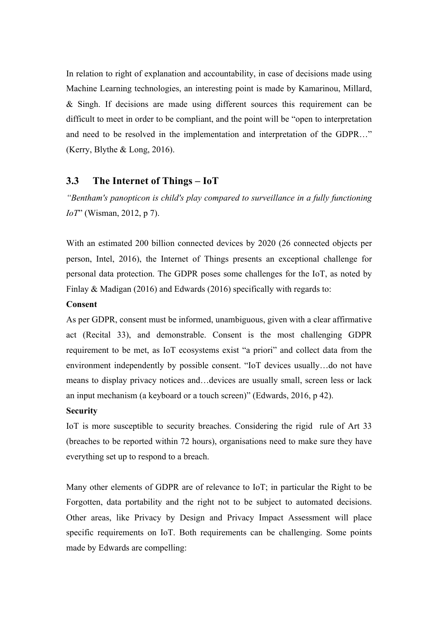In relation to right of explanation and accountability, in case of decisions made using Machine Learning technologies, an interesting point is made by Kamarinou, Millard, & Singh. If decisions are made using different sources this requirement can be difficult to meet in order to be compliant, and the point will be "open to interpretation and need to be resolved in the implementation and interpretation of the GDPR…" (Kerry, Blythe & Long, 2016).

## **3.3 The Internet of Things – IoT**

*"Bentham's panopticon is child's play compared to surveillance in a fully functioning IoT*" (Wisman, 2012, p 7).

With an estimated 200 billion connected devices by 2020 (26 connected objects per person, Intel, 2016), the Internet of Things presents an exceptional challenge for personal data protection. The GDPR poses some challenges for the IoT, as noted by Finlay & Madigan (2016) and Edwards (2016) specifically with regards to:

## **Consent**

As per GDPR, consent must be informed, unambiguous, given with a clear affirmative act (Recital 33), and demonstrable. Consent is the most challenging GDPR requirement to be met, as IoT ecosystems exist "a priori" and collect data from the environment independently by possible consent. "IoT devices usually…do not have means to display privacy notices and…devices are usually small, screen less or lack an input mechanism (a keyboard or a touch screen)" (Edwards, 2016, p 42).

## **Security**

IoT is more susceptible to security breaches. Considering the rigid rule of Art 33 (breaches to be reported within 72 hours), organisations need to make sure they have everything set up to respond to a breach.

Many other elements of GDPR are of relevance to IoT; in particular the Right to be Forgotten, data portability and the right not to be subject to automated decisions. Other areas, like Privacy by Design and Privacy Impact Assessment will place specific requirements on IoT. Both requirements can be challenging. Some points made by Edwards are compelling: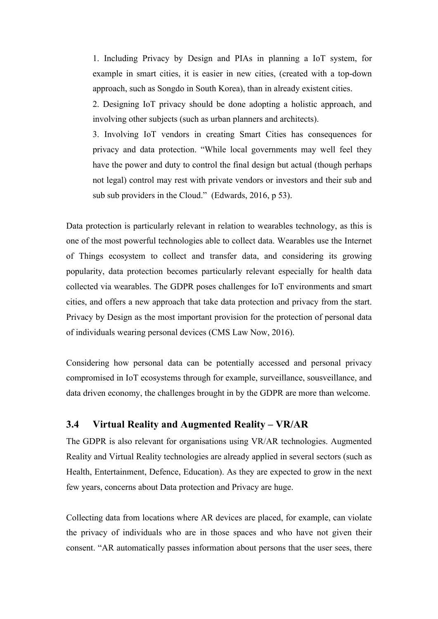1. Including Privacy by Design and PIAs in planning a IoT system, for example in smart cities, it is easier in new cities, (created with a top-down approach, such as Songdo in South Korea), than in already existent cities.

2. Designing IoT privacy should be done adopting a holistic approach, and involving other subjects (such as urban planners and architects).

3. Involving IoT vendors in creating Smart Cities has consequences for privacy and data protection. "While local governments may well feel they have the power and duty to control the final design but actual (though perhaps not legal) control may rest with private vendors or investors and their sub and sub sub providers in the Cloud." (Edwards, 2016, p 53).

Data protection is particularly relevant in relation to wearables technology, as this is one of the most powerful technologies able to collect data. Wearables use the Internet of Things ecosystem to collect and transfer data, and considering its growing popularity, data protection becomes particularly relevant especially for health data collected via wearables. The GDPR poses challenges for IoT environments and smart cities, and offers a new approach that take data protection and privacy from the start. Privacy by Design as the most important provision for the protection of personal data of individuals wearing personal devices (CMS Law Now, 2016).

Considering how personal data can be potentially accessed and personal privacy compromised in IoT ecosystems through for example, surveillance, sousveillance, and data driven economy, the challenges brought in by the GDPR are more than welcome.

# **3.4 Virtual Reality and Augmented Reality – VR/AR**

The GDPR is also relevant for organisations using VR/AR technologies. Augmented Reality and Virtual Reality technologies are already applied in several sectors (such as Health, Entertainment, Defence, Education). As they are expected to grow in the next few years, concerns about Data protection and Privacy are huge.

Collecting data from locations where AR devices are placed, for example, can violate the privacy of individuals who are in those spaces and who have not given their consent. "AR automatically passes information about persons that the user sees, there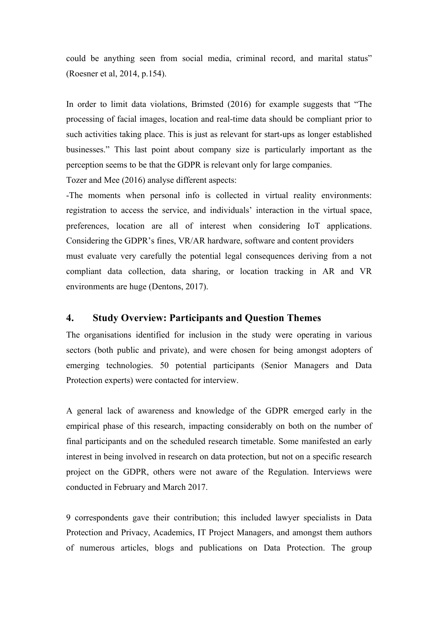could be anything seen from social media, criminal record, and marital status" (Roesner et al, 2014, p.154).

In order to limit data violations, Brimsted (2016) for example suggests that "The processing of facial images, location and real-time data should be compliant prior to such activities taking place. This is just as relevant for start-ups as longer established businesses." This last point about company size is particularly important as the perception seems to be that the GDPR is relevant only for large companies.

Tozer and Mee (2016) analyse different aspects:

-The moments when personal info is collected in virtual reality environments: registration to access the service, and individuals' interaction in the virtual space, preferences, location are all of interest when considering IoT applications. Considering the GDPR's fines, VR/AR hardware, software and content providers must evaluate very carefully the potential legal consequences deriving from a not compliant data collection, data sharing, or location tracking in AR and VR environments are huge (Dentons, 2017).

# **4. Study Overview: Participants and Question Themes**

The organisations identified for inclusion in the study were operating in various sectors (both public and private), and were chosen for being amongst adopters of emerging technologies. 50 potential participants (Senior Managers and Data Protection experts) were contacted for interview.

A general lack of awareness and knowledge of the GDPR emerged early in the empirical phase of this research, impacting considerably on both on the number of final participants and on the scheduled research timetable. Some manifested an early interest in being involved in research on data protection, but not on a specific research project on the GDPR, others were not aware of the Regulation. Interviews were conducted in February and March 2017.

9 correspondents gave their contribution; this included lawyer specialists in Data Protection and Privacy, Academics, IT Project Managers, and amongst them authors of numerous articles, blogs and publications on Data Protection. The group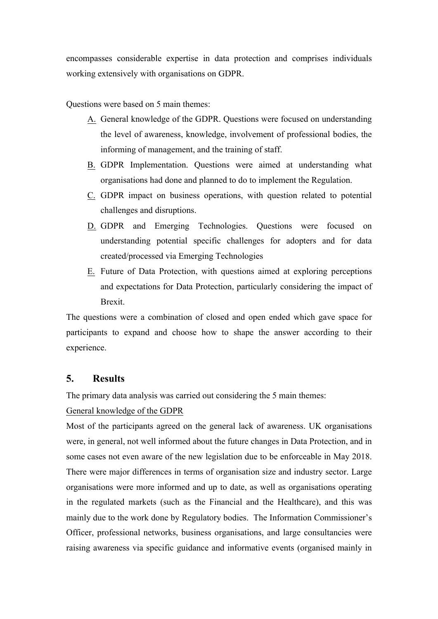encompasses considerable expertise in data protection and comprises individuals working extensively with organisations on GDPR.

Questions were based on 5 main themes:

- A. General knowledge of the GDPR. Questions were focused on understanding the level of awareness, knowledge, involvement of professional bodies, the informing of management, and the training of staff.
- B. GDPR Implementation. Questions were aimed at understanding what organisations had done and planned to do to implement the Regulation.
- C. GDPR impact on business operations, with question related to potential challenges and disruptions.
- D. GDPR and Emerging Technologies. Questions were focused on understanding potential specific challenges for adopters and for data created/processed via Emerging Technologies
- E. Future of Data Protection, with questions aimed at exploring perceptions and expectations for Data Protection, particularly considering the impact of Brexit.

The questions were a combination of closed and open ended which gave space for participants to expand and choose how to shape the answer according to their experience.

# **5. Results**

The primary data analysis was carried out considering the 5 main themes:

# General knowledge of the GDPR

Most of the participants agreed on the general lack of awareness. UK organisations were, in general, not well informed about the future changes in Data Protection, and in some cases not even aware of the new legislation due to be enforceable in May 2018. There were major differences in terms of organisation size and industry sector. Large organisations were more informed and up to date, as well as organisations operating in the regulated markets (such as the Financial and the Healthcare), and this was mainly due to the work done by Regulatory bodies. The Information Commissioner's Officer, professional networks, business organisations, and large consultancies were raising awareness via specific guidance and informative events (organised mainly in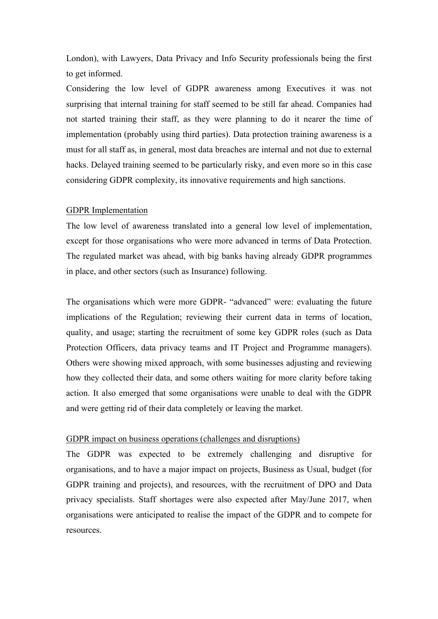London), with Lawyers, Data Privacy and Info Security professionals being the first to get informed.

Considering the low level of GDPR awareness among Executives it was not surprising that internal training for staff seemed to be still far ahead. Companies had not started training their staff, as they were planning to do it nearer the time of implementation (probably using third parties). Data protection training awareness is a must for all staff as, in general, most data breaches are internal and not due to external hacks. Delayed training seemed to be particularly risky, and even more so in this case considering GDPR complexity, its innovative requirements and high sanctions.

## GDPR Implementation

The low level of awareness translated into a general low level of implementation, except for those organisations who were more advanced in terms of Data Protection. The regulated market was ahead, with big banks having already GDPR programmes in place, and other sectors (such as Insurance) following.

The organisations which were more GDPR- "advanced" were: evaluating the future implications of the Regulation; reviewing their current data in terms of location, quality, and usage; starting the recruitment of some key GDPR roles (such as Data Protection Officers, data privacy teams and IT Project and Programme managers). Others were showing mixed approach, with some businesses adjusting and reviewing how they collected their data, and some others waiting for more clarity before taking action. It also emerged that some organisations were unable to deal with the GDPR and were getting rid of their data completely or leaving the market.

## GDPR impact on business operations (challenges and disruptions)

The GDPR was expected to be extremely challenging and disruptive for organisations, and to have a major impact on projects, Business as Usual, budget (for GDPR training and projects), and resources, with the recruitment of DPO and Data privacy specialists. Staff shortages were also expected after May/June 2017, when organisations were anticipated to realise the impact of the GDPR and to compete for resources.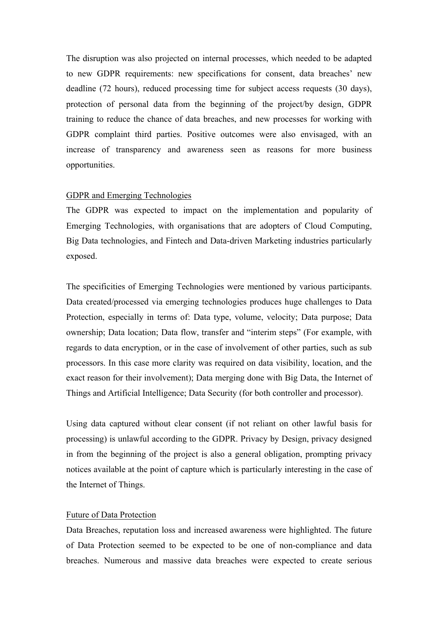The disruption was also projected on internal processes, which needed to be adapted to new GDPR requirements: new specifications for consent, data breaches' new deadline (72 hours), reduced processing time for subject access requests (30 days), protection of personal data from the beginning of the project/by design, GDPR training to reduce the chance of data breaches, and new processes for working with GDPR complaint third parties. Positive outcomes were also envisaged, with an increase of transparency and awareness seen as reasons for more business opportunities.

## GDPR and Emerging Technologies

The GDPR was expected to impact on the implementation and popularity of Emerging Technologies, with organisations that are adopters of Cloud Computing, Big Data technologies, and Fintech and Data-driven Marketing industries particularly exposed.

The specificities of Emerging Technologies were mentioned by various participants. Data created/processed via emerging technologies produces huge challenges to Data Protection, especially in terms of: Data type, volume, velocity; Data purpose; Data ownership; Data location; Data flow, transfer and "interim steps" (For example, with regards to data encryption, or in the case of involvement of other parties, such as sub processors. In this case more clarity was required on data visibility, location, and the exact reason for their involvement); Data merging done with Big Data, the Internet of Things and Artificial Intelligence; Data Security (for both controller and processor).

Using data captured without clear consent (if not reliant on other lawful basis for processing) is unlawful according to the GDPR. Privacy by Design, privacy designed in from the beginning of the project is also a general obligation, prompting privacy notices available at the point of capture which is particularly interesting in the case of the Internet of Things.

### Future of Data Protection

Data Breaches, reputation loss and increased awareness were highlighted. The future of Data Protection seemed to be expected to be one of non-compliance and data breaches. Numerous and massive data breaches were expected to create serious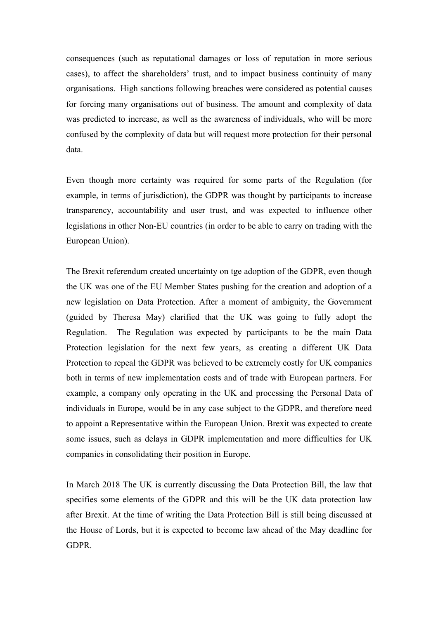consequences (such as reputational damages or loss of reputation in more serious cases), to affect the shareholders' trust, and to impact business continuity of many organisations. High sanctions following breaches were considered as potential causes for forcing many organisations out of business. The amount and complexity of data was predicted to increase, as well as the awareness of individuals, who will be more confused by the complexity of data but will request more protection for their personal data.

Even though more certainty was required for some parts of the Regulation (for example, in terms of jurisdiction), the GDPR was thought by participants to increase transparency, accountability and user trust, and was expected to influence other legislations in other Non-EU countries (in order to be able to carry on trading with the European Union).

The Brexit referendum created uncertainty on tge adoption of the GDPR, even though the UK was one of the EU Member States pushing for the creation and adoption of a new legislation on Data Protection. After a moment of ambiguity, the Government (guided by Theresa May) clarified that the UK was going to fully adopt the Regulation. The Regulation was expected by participants to be the main Data Protection legislation for the next few years, as creating a different UK Data Protection to repeal the GDPR was believed to be extremely costly for UK companies both in terms of new implementation costs and of trade with European partners. For example, a company only operating in the UK and processing the Personal Data of individuals in Europe, would be in any case subject to the GDPR, and therefore need to appoint a Representative within the European Union. Brexit was expected to create some issues, such as delays in GDPR implementation and more difficulties for UK companies in consolidating their position in Europe.

In March 2018 The UK is currently discussing the Data Protection Bill, the law that specifies some elements of the GDPR and this will be the UK data protection law after Brexit. At the time of writing the Data Protection Bill is still being discussed at the House of Lords, but it is expected to become law ahead of the May deadline for GDPR.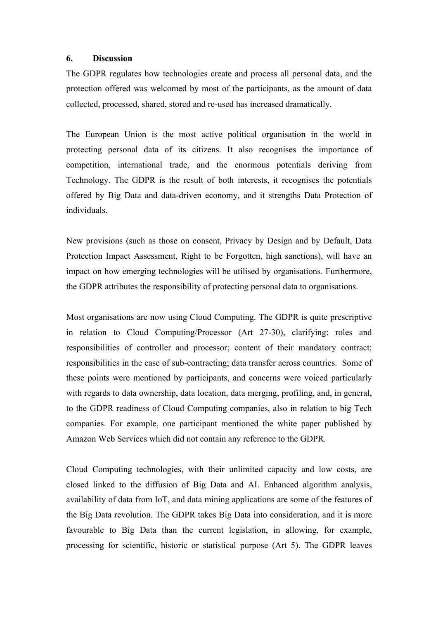## **6. Discussion**

The GDPR regulates how technologies create and process all personal data, and the protection offered was welcomed by most of the participants, as the amount of data collected, processed, shared, stored and re-used has increased dramatically.

The European Union is the most active political organisation in the world in protecting personal data of its citizens. It also recognises the importance of competition, international trade, and the enormous potentials deriving from Technology. The GDPR is the result of both interests, it recognises the potentials offered by Big Data and data-driven economy, and it strengths Data Protection of individuals.

New provisions (such as those on consent, Privacy by Design and by Default, Data Protection Impact Assessment, Right to be Forgotten, high sanctions), will have an impact on how emerging technologies will be utilised by organisations. Furthermore, the GDPR attributes the responsibility of protecting personal data to organisations.

Most organisations are now using Cloud Computing. The GDPR is quite prescriptive in relation to Cloud Computing/Processor (Art 27-30), clarifying: roles and responsibilities of controller and processor; content of their mandatory contract; responsibilities in the case of sub-contracting; data transfer across countries. Some of these points were mentioned by participants, and concerns were voiced particularly with regards to data ownership, data location, data merging, profiling, and, in general, to the GDPR readiness of Cloud Computing companies, also in relation to big Tech companies. For example, one participant mentioned the white paper published by Amazon Web Services which did not contain any reference to the GDPR.

Cloud Computing technologies, with their unlimited capacity and low costs, are closed linked to the diffusion of Big Data and AI. Enhanced algorithm analysis, availability of data from IoT, and data mining applications are some of the features of the Big Data revolution. The GDPR takes Big Data into consideration, and it is more favourable to Big Data than the current legislation, in allowing, for example, processing for scientific, historic or statistical purpose (Art 5). The GDPR leaves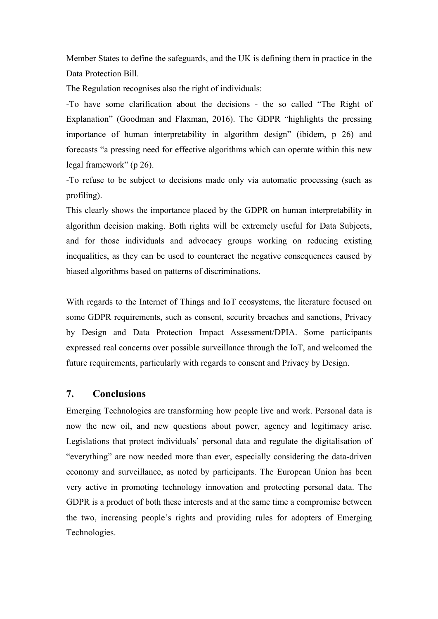Member States to define the safeguards, and the UK is defining them in practice in the Data Protection Bill.

The Regulation recognises also the right of individuals:

-To have some clarification about the decisions - the so called "The Right of Explanation" (Goodman and Flaxman, 2016). The GDPR "highlights the pressing importance of human interpretability in algorithm design" (ibidem, p 26) and forecasts "a pressing need for effective algorithms which can operate within this new legal framework" (p 26).

-To refuse to be subject to decisions made only via automatic processing (such as profiling).

This clearly shows the importance placed by the GDPR on human interpretability in algorithm decision making. Both rights will be extremely useful for Data Subjects, and for those individuals and advocacy groups working on reducing existing inequalities, as they can be used to counteract the negative consequences caused by biased algorithms based on patterns of discriminations.

With regards to the Internet of Things and IoT ecosystems, the literature focused on some GDPR requirements, such as consent, security breaches and sanctions, Privacy by Design and Data Protection Impact Assessment/DPIA. Some participants expressed real concerns over possible surveillance through the IoT, and welcomed the future requirements, particularly with regards to consent and Privacy by Design.

## **7. Conclusions**

Emerging Technologies are transforming how people live and work. Personal data is now the new oil, and new questions about power, agency and legitimacy arise. Legislations that protect individuals' personal data and regulate the digitalisation of "everything" are now needed more than ever, especially considering the data-driven economy and surveillance, as noted by participants. The European Union has been very active in promoting technology innovation and protecting personal data. The GDPR is a product of both these interests and at the same time a compromise between the two, increasing people's rights and providing rules for adopters of Emerging Technologies.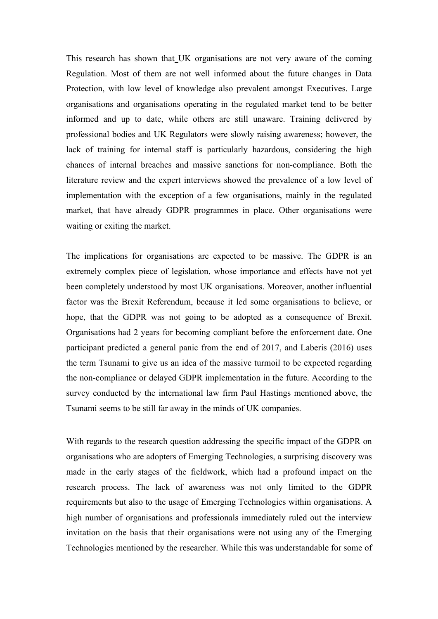This research has shown that UK organisations are not very aware of the coming Regulation. Most of them are not well informed about the future changes in Data Protection, with low level of knowledge also prevalent amongst Executives. Large organisations and organisations operating in the regulated market tend to be better informed and up to date, while others are still unaware. Training delivered by professional bodies and UK Regulators were slowly raising awareness; however, the lack of training for internal staff is particularly hazardous, considering the high chances of internal breaches and massive sanctions for non-compliance. Both the literature review and the expert interviews showed the prevalence of a low level of implementation with the exception of a few organisations, mainly in the regulated market, that have already GDPR programmes in place. Other organisations were waiting or exiting the market.

The implications for organisations are expected to be massive. The GDPR is an extremely complex piece of legislation, whose importance and effects have not yet been completely understood by most UK organisations. Moreover, another influential factor was the Brexit Referendum, because it led some organisations to believe, or hope, that the GDPR was not going to be adopted as a consequence of Brexit. Organisations had 2 years for becoming compliant before the enforcement date. One participant predicted a general panic from the end of 2017, and Laberis (2016) uses the term Tsunami to give us an idea of the massive turmoil to be expected regarding the non-compliance or delayed GDPR implementation in the future. According to the survey conducted by the international law firm Paul Hastings mentioned above, the Tsunami seems to be still far away in the minds of UK companies.

With regards to the research question addressing the specific impact of the GDPR on organisations who are adopters of Emerging Technologies, a surprising discovery was made in the early stages of the fieldwork, which had a profound impact on the research process. The lack of awareness was not only limited to the GDPR requirements but also to the usage of Emerging Technologies within organisations. A high number of organisations and professionals immediately ruled out the interview invitation on the basis that their organisations were not using any of the Emerging Technologies mentioned by the researcher. While this was understandable for some of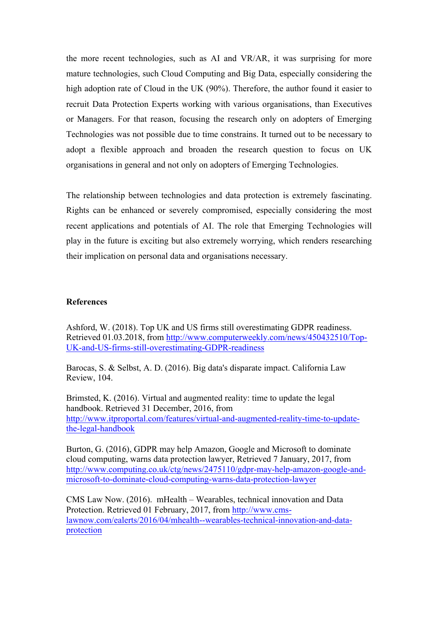the more recent technologies, such as AI and VR/AR, it was surprising for more mature technologies, such Cloud Computing and Big Data, especially considering the high adoption rate of Cloud in the UK (90%). Therefore, the author found it easier to recruit Data Protection Experts working with various organisations, than Executives or Managers. For that reason, focusing the research only on adopters of Emerging Technologies was not possible due to time constrains. It turned out to be necessary to adopt a flexible approach and broaden the research question to focus on UK organisations in general and not only on adopters of Emerging Technologies.

The relationship between technologies and data protection is extremely fascinating. Rights can be enhanced or severely compromised, especially considering the most recent applications and potentials of AI. The role that Emerging Technologies will play in the future is exciting but also extremely worrying, which renders researching their implication on personal data and organisations necessary.

## **References**

Ashford, W. (2018). Top UK and US firms still overestimating GDPR readiness. Retrieved 01.03.2018, from http://www.computerweekly.com/news/450432510/Top-UK-and-US-firms-still-overestimating-GDPR-readiness

Barocas, S. & Selbst, A. D. (2016). Big data's disparate impact. California Law Review, 104.

Brimsted, K. (2016). Virtual and augmented reality: time to update the legal handbook. Retrieved 31 December, 2016, from http://www.itproportal.com/features/virtual-and-augmented-reality-time-to-updatethe-legal-handbook

Burton, G. (2016), GDPR may help Amazon, Google and Microsoft to dominate cloud computing, warns data protection lawyer, Retrieved 7 January, 2017, from http://www.computing.co.uk/ctg/news/2475110/gdpr-may-help-amazon-google-andmicrosoft-to-dominate-cloud-computing-warns-data-protection-lawyer

CMS Law Now. (2016). mHealth – Wearables, technical innovation and Data Protection. Retrieved 01 February, 2017, from http://www.cmslawnow.com/ealerts/2016/04/mhealth--wearables-technical-innovation-and-dataprotection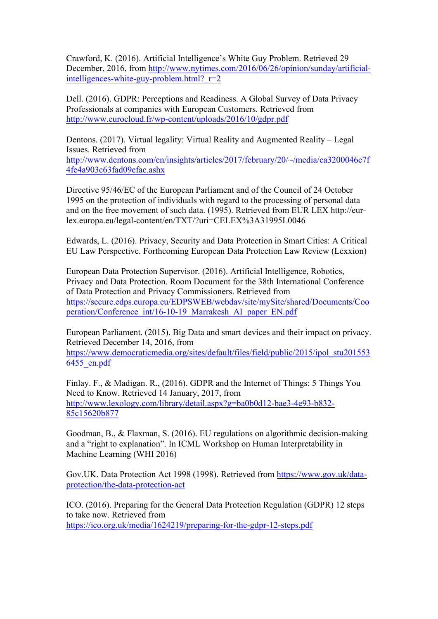Crawford, K. (2016). Artificial Intelligence's White Guy Problem. Retrieved 29 December, 2016, from http://www.nytimes.com/2016/06/26/opinion/sunday/artificialintelligences-white-guy-problem.html? $r=2$ 

Dell. (2016). GDPR: Perceptions and Readiness. A Global Survey of Data Privacy Professionals at companies with European Customers. Retrieved from http://www.eurocloud.fr/wp-content/uploads/2016/10/gdpr.pdf

Dentons. (2017). Virtual legality: Virtual Reality and Augmented Reality – Legal Issues. Retrieved from http://www.dentons.com/en/insights/articles/2017/february/20/~/media/ca3200046c7f 4fe4a903c63fad09efac.ashx

Directive 95/46/EC of the European Parliament and of the Council of 24 October 1995 on the protection of individuals with regard to the processing of personal data and on the free movement of such data. (1995). Retrieved from EUR LEX http://eurlex.europa.eu/legal-content/en/TXT/?uri=CELEX%3A31995L0046

Edwards, L. (2016). Privacy, Security and Data Protection in Smart Cities: A Critical EU Law Perspective. Forthcoming European Data Protection Law Review (Lexxion)

European Data Protection Supervisor. (2016). Artificial Intelligence, Robotics, Privacy and Data Protection. Room Document for the 38th International Conference of Data Protection and Privacy Commissioners. Retrieved from https://secure.edps.europa.eu/EDPSWEB/webdav/site/mySite/shared/Documents/Coo peration/Conference\_int/16-10-19\_Marrakesh\_AI\_paper\_EN.pdf

European Parliament. (2015). Big Data and smart devices and their impact on privacy. Retrieved December 14, 2016, from

https://www.democraticmedia.org/sites/default/files/field/public/2015/ipol\_stu201553 6455\_en.pdf

Finlay. F., & Madigan. R., (2016). GDPR and the Internet of Things: 5 Things You Need to Know. Retrieved 14 January, 2017, from http://www.lexology.com/library/detail.aspx?g=ba0b0d12-bae3-4e93-b832- 85c15620b877

Goodman, B., & Flaxman, S. (2016). EU regulations on algorithmic decision-making and a "right to explanation". In ICML Workshop on Human Interpretability in Machine Learning (WHI 2016)

Gov.UK. Data Protection Act 1998 (1998). Retrieved from https://www.gov.uk/dataprotection/the-data-protection-act

ICO. (2016). Preparing for the General Data Protection Regulation (GDPR) 12 steps to take now. Retrieved from https://ico.org.uk/media/1624219/preparing-for-the-gdpr-12-steps.pdf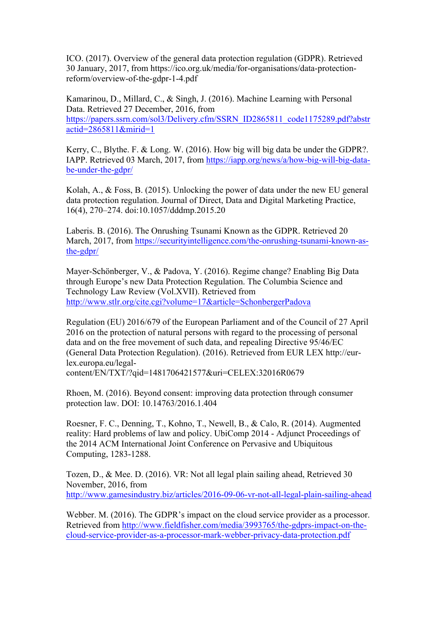ICO. (2017). Overview of the general data protection regulation (GDPR). Retrieved 30 January, 2017, from https://ico.org.uk/media/for-organisations/data-protectionreform/overview-of-the-gdpr-1-4.pdf

Kamarinou, D., Millard, C., & Singh, J. (2016). Machine Learning with Personal Data. Retrieved 27 December, 2016, from https://papers.ssrn.com/sol3/Delivery.cfm/SSRN\_ID2865811\_code1175289.pdf?abstr actid=2865811&mirid=1

Kerry, C., Blythe. F. & Long. W. (2016). How big will big data be under the GDPR?. IAPP. Retrieved 03 March, 2017, from https://iapp.org/news/a/how-big-will-big-databe-under-the-gdpr/

Kolah, A., & Foss, B. (2015). Unlocking the power of data under the new EU general data protection regulation. Journal of Direct, Data and Digital Marketing Practice, 16(4), 270–274. doi:10.1057/dddmp.2015.20

Laberis. B. (2016). The Onrushing Tsunami Known as the GDPR. Retrieved 20 March, 2017, from https://securityintelligence.com/the-onrushing-tsunami-known-asthe-gdpr/

Mayer-Schönberger, V., & Padova, Y. (2016). Regime change? Enabling Big Data through Europe's new Data Protection Regulation. The Columbia Science and Technology Law Review (Vol.XVII). Retrieved from http://www.stlr.org/cite.cgi?volume=17&article=SchonbergerPadova

Regulation (EU) 2016/679 of the European Parliament and of the Council of 27 April 2016 on the protection of natural persons with regard to the processing of personal data and on the free movement of such data, and repealing Directive 95/46/EC (General Data Protection Regulation). (2016). Retrieved from EUR LEX http://eurlex.europa.eu/legal-

content/EN/TXT/?qid=1481706421577&uri=CELEX:32016R0679

Rhoen, M. (2016). Beyond consent: improving data protection through consumer protection law. DOI: 10.14763/2016.1.404

Roesner, F. C., Denning, T., Kohno, T., Newell, B., & Calo, R. (2014). Augmented reality: Hard problems of law and policy. UbiComp 2014 - Adjunct Proceedings of the 2014 ACM International Joint Conference on Pervasive and Ubiquitous Computing, 1283-1288.

Tozen, D., & Mee. D. (2016). VR: Not all legal plain sailing ahead, Retrieved 30 November, 2016, from http://www.gamesindustry.biz/articles/2016-09-06-vr-not-all-legal-plain-sailing-ahead

Webber. M. (2016). The GDPR's impact on the cloud service provider as a processor. Retrieved from http://www.fieldfisher.com/media/3993765/the-gdprs-impact-on-thecloud-service-provider-as-a-processor-mark-webber-privacy-data-protection.pdf